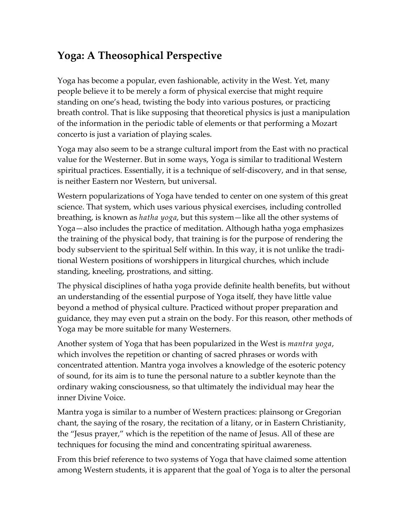## **Yoga: A Theosophical Perspective**

Yoga has become a popular, even fashionable, activity in the West. Yet, many people believe it to be merely a form of physical exercise that might require standing on one's head, twisting the body into various postures, or practicing breath control. That is like supposing that theoretical physics is just a manipulation of the information in the periodic table of elements or that performing a Mozart concerto is just a variation of playing scales.

Yoga may also seem to be a strange cultural import from the East with no practical value for the Westerner. But in some ways, Yoga is similar to traditional Western spiritual practices. Essentially, it is a technique of self-discovery, and in that sense, is neither Eastern nor Western, but universal.

Western popularizations of Yoga have tended to center on one system of this great science. That system, which uses various physical exercises, including controlled breathing, is known as *hatha yoga*, but this system—like all the other systems of Yoga—also includes the practice of meditation. Although hatha yoga emphasizes the training of the physical body, that training is for the purpose of rendering the body subservient to the spiritual Self within. In this way, it is not unlike the traditional Western positions of worshippers in liturgical churches, which include standing, kneeling, prostrations, and sitting.

The physical disciplines of hatha yoga provide definite health benefits, but without an understanding of the essential purpose of Yoga itself, they have little value beyond a method of physical culture. Practiced without proper preparation and guidance, they may even put a strain on the body. For this reason, other methods of Yoga may be more suitable for many Westerners.

Another system of Yoga that has been popularized in the West is *mantra yoga*, which involves the repetition or chanting of sacred phrases or words with concentrated attention. Mantra yoga involves a knowledge of the esoteric potency of sound, for its aim is to tune the personal nature to a subtler keynote than the ordinary waking consciousness, so that ultimately the individual may hear the inner Divine Voice.

Mantra yoga is similar to a number of Western practices: plainsong or Gregorian chant, the saying of the rosary, the recitation of a litany, or in Eastern Christianity, the "Jesus prayer," which is the repetition of the name of Jesus. All of these are techniques for focusing the mind and concentrating spiritual awareness.

From this brief reference to two systems of Yoga that have claimed some attention among Western students, it is apparent that the goal of Yoga is to alter the personal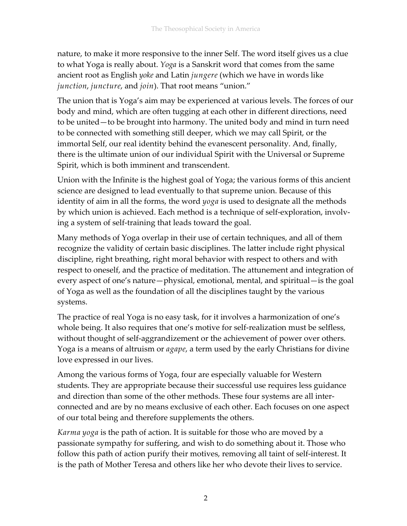nature, to make it more responsive to the inner Self. The word itself gives us a clue to what Yoga is really about. *Yoga* is a Sanskrit word that comes from the same ancient root as English *yoke* and Latin *jungere* (which we have in words like *junction*, *juncture*, and *join*). That root means "union."

The union that is Yoga's aim may be experienced at various levels. The forces of our body and mind, which are often tugging at each other in different directions, need to be united—to be brought into harmony. The united body and mind in turn need to be connected with something still deeper, which we may call Spirit, or the immortal Self, our real identity behind the evanescent personality. And, finally, there is the ultimate union of our individual Spirit with the Universal or Supreme Spirit, which is both imminent and transcendent.

Union with the Infinite is the highest goal of Yoga; the various forms of this ancient science are designed to lead eventually to that supreme union. Because of this identity of aim in all the forms, the word *yoga* is used to designate all the methods by which union is achieved. Each method is a technique of self-exploration, involving a system of self-training that leads toward the goal.

Many methods of Yoga overlap in their use of certain techniques, and all of them recognize the validity of certain basic disciplines. The latter include right physical discipline, right breathing, right moral behavior with respect to others and with respect to oneself, and the practice of meditation. The attunement and integration of every aspect of one's nature—physical, emotional, mental, and spiritual—is the goal of Yoga as well as the foundation of all the disciplines taught by the various systems.

The practice of real Yoga is no easy task, for it involves a harmonization of one's whole being. It also requires that one's motive for self-realization must be selfless, without thought of self-aggrandizement or the achievement of power over others. Yoga is a means of altruism or *agape*, a term used by the early Christians for divine love expressed in our lives.

Among the various forms of Yoga, four are especially valuable for Western students. They are appropriate because their successful use requires less guidance and direction than some of the other methods. These four systems are all interconnected and are by no means exclusive of each other. Each focuses on one aspect of our total being and therefore supplements the others.

*Karma yoga* is the path of action. It is suitable for those who are moved by a passionate sympathy for suffering, and wish to do something about it. Those who follow this path of action purify their motives, removing all taint of self-interest. It is the path of Mother Teresa and others like her who devote their lives to service.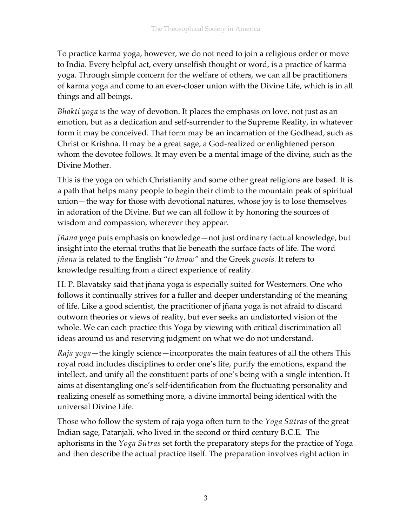To practice karma yoga, however, we do not need to join a religious order or move to India. Every helpful act, every unselfish thought or word, is a practice of karma yoga. Through simple concern for the welfare of others, we can all be practitioners of karma yoga and come to an ever-closer union with the Divine Life, which is in all things and all beings.

*Bhakti yoga* is the way of devotion. It places the emphasis on love, not just as an emotion, but as a dedication and self-surrender to the Supreme Reality, in whatever form it may be conceived. That form may be an incarnation of the Godhead, such as Christ or Krishna. It may be a great sage, a God-realized or enlightened person whom the devotee follows. It may even be a mental image of the divine, such as the Divine Mother.

This is the yoga on which Christianity and some other great religions are based. It is a path that helps many people to begin their climb to the mountain peak of spiritual union—the way for those with devotional natures, whose joy is to lose themselves in adoration of the Divine. But we can all follow it by honoring the sources of wisdom and compassion, wherever they appear.

*Jñana yoga* puts emphasis on knowledge—not just ordinary factual knowledge, but insight into the eternal truths that lie beneath the surface facts of life. The word *jñana* is related to the English "*to know"* and the Greek *gnosis*. It refers to knowledge resulting from a direct experience of reality.

H. P. Blavatsky said that jñana yoga is especially suited for Westerners. One who follows it continually strives for a fuller and deeper understanding of the meaning of life. Like a good scientist, the practitioner of jñana yoga is not afraid to discard outworn theories or views of reality, but ever seeks an undistorted vision of the whole. We can each practice this Yoga by viewing with critical discrimination all ideas around us and reserving judgment on what we do not understand.

*Raja yoga*—the kingly science—incorporates the main features of all the others This royal road includes disciplines to order one's life, purify the emotions, expand the intellect, and unify all the constituent parts of one's being with a single intention. It aims at disentangling one's self-identification from the fluctuating personality and realizing oneself as something more, a divine immortal being identical with the universal Divine Life.

Those who follow the system of raja yoga often turn to the *Yoga Sūtras* of the great Indian sage, Patanjali, who lived in the second or third century B.C.E. The aphorisms in the *Yoga Sūtras* set forth the preparatory steps for the practice of Yoga and then describe the actual practice itself. The preparation involves right action in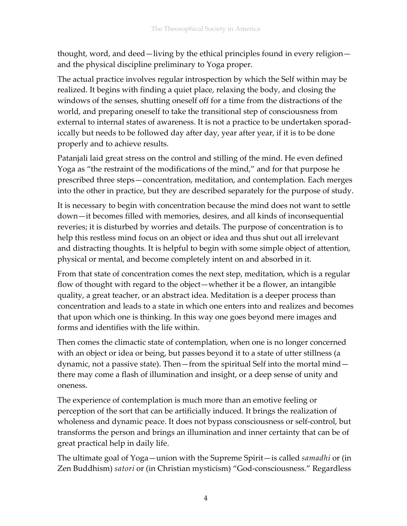thought, word, and deed—living by the ethical principles found in every religion and the physical discipline preliminary to Yoga proper.

The actual practice involves regular introspection by which the Self within may be realized. It begins with finding a quiet place, relaxing the body, and closing the windows of the senses, shutting oneself off for a time from the distractions of the world, and preparing oneself to take the transitional step of consciousness from external to internal states of awareness. It is not a practice to be undertaken sporadiccally but needs to be followed day after day, year after year, if it is to be done properly and to achieve results.

Patanjali laid great stress on the control and stilling of the mind. He even defined Yoga as "the restraint of the modifications of the mind," and for that purpose he prescribed three steps—concentration, meditation, and contemplation. Each merges into the other in practice, but they are described separately for the purpose of study.

It is necessary to begin with concentration because the mind does not want to settle down—it becomes filled with memories, desires, and all kinds of inconsequential reveries; it is disturbed by worries and details. The purpose of concentration is to help this restless mind focus on an object or idea and thus shut out all irrelevant and distracting thoughts. It is helpful to begin with some simple object of attention, physical or mental, and become completely intent on and absorbed in it.

From that state of concentration comes the next step, meditation, which is a regular flow of thought with regard to the object—whether it be a flower, an intangible quality, a great teacher, or an abstract idea. Meditation is a deeper process than concentration and leads to a state in which one enters into and realizes and becomes that upon which one is thinking. In this way one goes beyond mere images and forms and identifies with the life within.

Then comes the climactic state of contemplation, when one is no longer concerned with an object or idea or being, but passes beyond it to a state of utter stillness (a dynamic, not a passive state). Then—from the spiritual Self into the mortal mind there may come a flash of illumination and insight, or a deep sense of unity and oneness.

The experience of contemplation is much more than an emotive feeling or perception of the sort that can be artificially induced. It brings the realization of wholeness and dynamic peace. It does not bypass consciousness or self-control, but transforms the person and brings an illumination and inner certainty that can be of great practical help in daily life.

The ultimate goal of Yoga—union with the Supreme Spirit—is called *samadhi* or (in Zen Buddhism) *satori* or (in Christian mysticism) "God-consciousness." Regardless